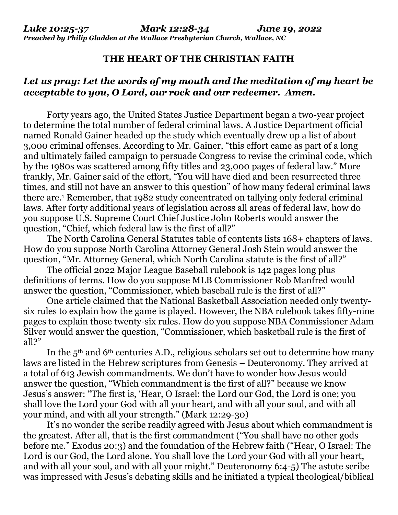*Preached by Philip Gladden at the Wallace Presbyterian Church, Wallace, NC* 

## **THE HEART OF THE CHRISTIAN FAITH**

## *Let us pray: Let the words of my mouth and the meditation of my heart be acceptable to you, O Lord, our rock and our redeemer. Amen.*

 Forty years ago, the United States Justice Department began a two-year project to determine the total number of federal criminal laws. A Justice Department official named Ronald Gainer headed up the study which eventually drew up a list of about 3,000 criminal offenses. According to Mr. Gainer, "this effort came as part of a long and ultimately failed campaign to persuade Congress to revise the criminal code, which by the 1980s was scattered among fifty titles and 23,000 pages of federal law." More frankly, Mr. Gainer said of the effort, "You will have died and been resurrected three times, and still not have an answer to this question" of how many federal criminal laws there are.<sup>1</sup> Remember, that 1982 study concentrated on tallying only federal criminal laws. After forty additional years of legislation across all areas of federal law, how do you suppose U.S. Supreme Court Chief Justice John Roberts would answer the question, "Chief, which federal law is the first of all?"

 The North Carolina General Statutes table of contents lists 168+ chapters of laws. How do you suppose North Carolina Attorney General Josh Stein would answer the question, "Mr. Attorney General, which North Carolina statute is the first of all?"

 The official 2022 Major League Baseball rulebook is 142 pages long plus definitions of terms. How do you suppose MLB Commissioner Rob Manfred would answer the question, "Commissioner, which baseball rule is the first of all?"

 One article claimed that the National Basketball Association needed only twentysix rules to explain how the game is played. However, the NBA rulebook takes fifty-nine pages to explain those twenty-six rules. How do you suppose NBA Commissioner Adam Silver would answer the question, "Commissioner, which basketball rule is the first of all?"

In the  $5<sup>th</sup>$  and  $6<sup>th</sup>$  centuries A.D., religious scholars set out to determine how many laws are listed in the Hebrew scriptures from Genesis – Deuteronomy. They arrived at a total of 613 Jewish commandments. We don't have to wonder how Jesus would answer the question, "Which commandment is the first of all?" because we know Jesus's answer: "The first is, 'Hear, O Israel: the Lord our God, the Lord is one; you shall love the Lord your God with all your heart, and with all your soul, and with all your mind, and with all your strength." (Mark 12:29-30)

 It's no wonder the scribe readily agreed with Jesus about which commandment is the greatest. After all, that is the first commandment ("You shall have no other gods before me." Exodus 20:3) and the foundation of the Hebrew faith ("Hear, O Israel: The Lord is our God, the Lord alone. You shall love the Lord your God with all your heart, and with all your soul, and with all your might." Deuteronomy 6:4-5) The astute scribe was impressed with Jesus's debating skills and he initiated a typical theological/biblical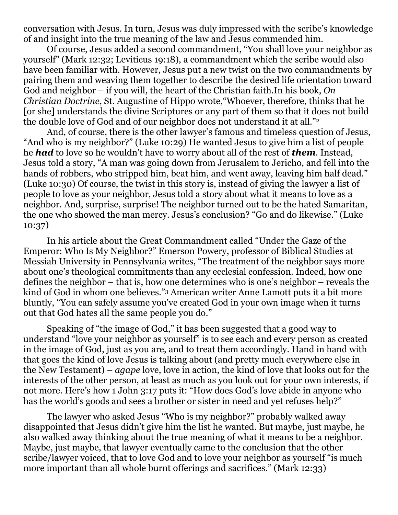conversation with Jesus. In turn, Jesus was duly impressed with the scribe's knowledge of and insight into the true meaning of the law and Jesus commended him.

Of course, Jesus added a second commandment, "You shall love your neighbor as yourself" (Mark 12:32; Leviticus 19:18), a commandment which the scribe would also have been familiar with. However, Jesus put a new twist on the two commandments by pairing them and weaving them together to describe the desired life orientation toward God and neighbor – if you will, the heart of the Christian faith.In his book, *On Christian Doctrine*, St. Augustine of Hippo wrote,"Whoever, therefore, thinks that he [or she] understands the divine Scriptures or any part of them so that it does not build the double love of God and of our neighbor does not understand it at all."<sup>2</sup>

 And, of course, there is the other lawyer's famous and timeless question of Jesus, "And who is my neighbor?" (Luke 10:29) He wanted Jesus to give him a list of people he *had* to love so he wouldn't have to worry about all of the rest of *them*. Instead, Jesus told a story, "A man was going down from Jerusalem to Jericho, and fell into the hands of robbers, who stripped him, beat him, and went away, leaving him half dead." (Luke 10:30) Of course, the twist in this story is, instead of giving the lawyer a list of people to love as your neighbor, Jesus told a story about what it means to love as a neighbor. And, surprise, surprise! The neighbor turned out to be the hated Samaritan, the one who showed the man mercy. Jesus's conclusion? "Go and do likewise." (Luke 10:37)

 In his article about the Great Commandment called "Under the Gaze of the Emperor: Who Is My Neighbor?" Emerson Powery, professor of Biblical Studies at Messiah University in Pennsylvania writes, "The treatment of the neighbor says more about one's theological commitments than any ecclesial confession. Indeed, how one defines the neighbor – that is, how one determines who is one's neighbor – reveals the kind of God in whom one believes."3 American writer Anne Lamott puts it a bit more bluntly, "You can safely assume you've created God in your own image when it turns out that God hates all the same people you do."

 Speaking of "the image of God," it has been suggested that a good way to understand "love your neighbor as yourself" is to see each and every person as created in the image of God, just as you are, and to treat them accordingly. Hand in hand with that goes the kind of love Jesus is talking about (and pretty much everywhere else in the New Testament) – *agape* love, love in action, the kind of love that looks out for the interests of the other person, at least as much as you look out for your own interests, if not more. Here's how 1 John 3:17 puts it: "How does God's love abide in anyone who has the world's goods and sees a brother or sister in need and yet refuses help?"

 The lawyer who asked Jesus "Who is my neighbor?" probably walked away disappointed that Jesus didn't give him the list he wanted. But maybe, just maybe, he also walked away thinking about the true meaning of what it means to be a neighbor. Maybe, just maybe, that lawyer eventually came to the conclusion that the other scribe/lawyer voiced, that to love God and to love your neighbor as yourself "is much more important than all whole burnt offerings and sacrifices." (Mark 12:33)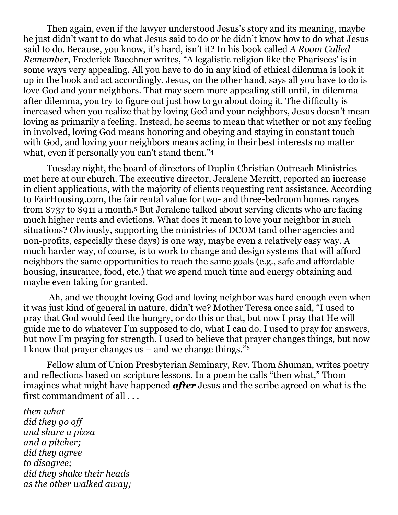Then again, even if the lawyer understood Jesus's story and its meaning, maybe he just didn't want to do what Jesus said to do or he didn't know how to do what Jesus said to do. Because, you know, it's hard, isn't it? In his book called *A Room Called Remember*, Frederick Buechner writes, "A legalistic religion like the Pharisees' is in some ways very appealing. All you have to do in any kind of ethical dilemma is look it up in the book and act accordingly. Jesus, on the other hand, says all you have to do is love God and your neighbors. That may seem more appealing still until, in dilemma after dilemma, you try to figure out just how to go about doing it. The difficulty is increased when you realize that by loving God and your neighbors, Jesus doesn't mean loving as primarily a feeling. Instead, he seems to mean that whether or not any feeling in involved, loving God means honoring and obeying and staying in constant touch with God, and loving your neighbors means acting in their best interests no matter what, even if personally you can't stand them."<sup>4</sup>

 Tuesday night, the board of directors of Duplin Christian Outreach Ministries met here at our church. The executive director, Jeralene Merritt, reported an increase in client applications, with the majority of clients requesting rent assistance. According to FairHousing.com, the fair rental value for two- and three-bedroom homes ranges from \$737 to \$911 a month.5 But Jeralene talked about serving clients who are facing much higher rents and evictions. What does it mean to love your neighbor in such situations? Obviously, supporting the ministries of DCOM (and other agencies and non-profits, especially these days) is one way, maybe even a relatively easy way. A much harder way, of course, is to work to change and design systems that will afford neighbors the same opportunities to reach the same goals (e.g., safe and affordable housing, insurance, food, etc.) that we spend much time and energy obtaining and maybe even taking for granted.

 Ah, and we thought loving God and loving neighbor was hard enough even when it was just kind of general in nature, didn't we? Mother Teresa once said, "I used to pray that God would feed the hungry, or do this or that, but now I pray that He will guide me to do whatever I'm supposed to do, what I can do. I used to pray for answers, but now I'm praying for strength. I used to believe that prayer changes things, but now I know that prayer changes us – and we change things." $6$ 

 Fellow alum of Union Presbyterian Seminary, Rev. Thom Shuman, writes poetry and reflections based on scripture lessons. In a poem he calls "then what," Thom imagines what might have happened *after* Jesus and the scribe agreed on what is the first commandment of all . . .

*then what did they go off and share a pizza and a pitcher; did they agree to disagree; did they shake their heads as the other walked away;*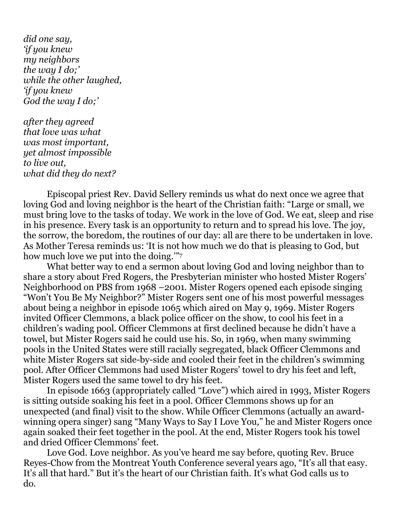*did one say, 'if you knew my neighbors the way I do;' while the other laughed, 'if you knew God the way I do;'* 

*after they agreed that love was what was most important, yet almost impossible to live out, what did they do next?* 

 Episcopal priest Rev. David Sellery reminds us what do next once we agree that loving God and loving neighbor is the heart of the Christian faith: "Large or small, we must bring love to the tasks of today. We work in the love of God. We eat, sleep and rise in his presence. Every task is an opportunity to return and to spread his love. The joy, the sorrow, the boredom, the routines of our day: all are there to be undertaken in love. As Mother Teresa reminds us: 'It is not how much we do that is pleasing to God, but how much love we put into the doing.'"<sup>7</sup>

What better way to end a sermon about loving God and loving neighbor than to share a story about Fred Rogers, the Presbyterian minister who hosted Mister Rogers' Neighborhood on PBS from 1968 –2001. Mister Rogers opened each episode singing "Won't You Be My Neighbor?" Mister Rogers sent one of his most powerful messages about being a neighbor in episode 1065 which aired on May 9, 1969. Mister Rogers invited Officer Clemmons, a black police officer on the show, to cool his feet in a children's wading pool. Officer Clemmons at first declined because he didn't have a towel, but Mister Rogers said he could use his. So, in 1969, when many swimming pools in the United States were still racially segregated, black Officer Clemmons and white Mister Rogers sat side-by-side and cooled their feet in the children's swimming pool. After Officer Clemmons had used Mister Rogers' towel to dry his feet and left, Mister Rogers used the same towel to dry his feet.

In episode 1663 (appropriately called "Love") which aired in 1993, Mister Rogers is sitting outside soaking his feet in a pool. Officer Clemmons shows up for an unexpected (and final) visit to the show. While Officer Clemmons (actually an awardwinning opera singer) sang "Many Ways to Say I Love You," he and Mister Rogers once again soaked their feet together in the pool. At the end, Mister Rogers took his towel and dried Officer Clemmons' feet.

Love God. Love neighbor. As you've heard me say before, quoting Rev. Bruce Reyes-Chow from the Montreat Youth Conference several years ago, "It's all that easy. It's all that hard." But it's the heart of our Christian faith. It's what God calls us to  $\mathbf{do.}$